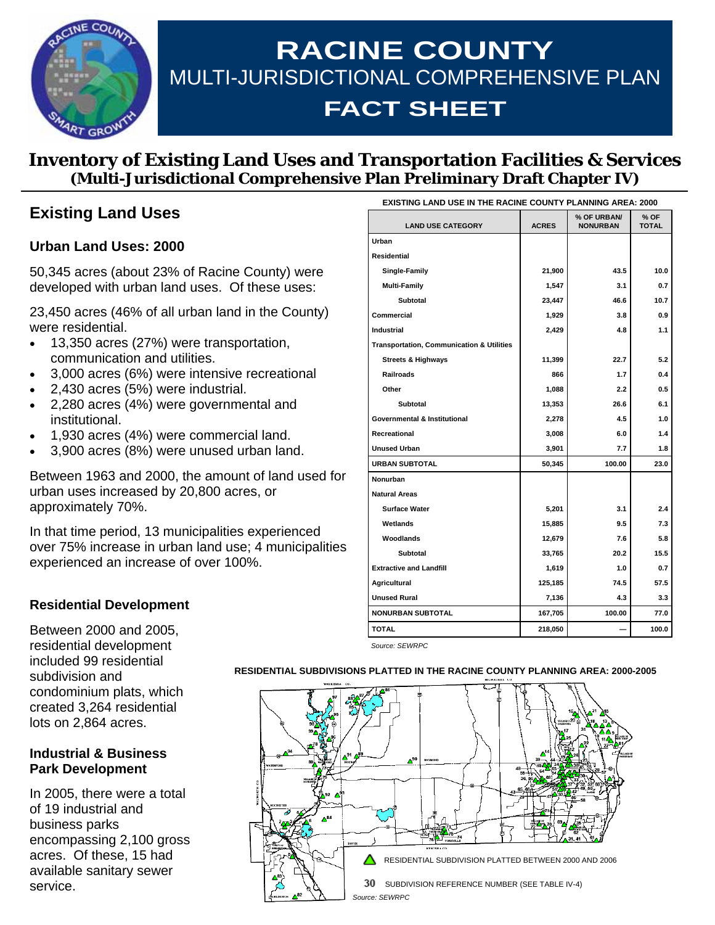

# **RACINE COUNTY**  MULTI-JURISDICTIONAL COMPREHENSIVE PLAN **FACT SHEET**

## **Inventory of Existing Land Uses and Transportation Facilities & Services (Multi-Jurisdictional Comprehensive Plan Preliminary Draft Chapter IV)**

## **Existing Land Uses**

#### **Urban Land Uses: 2000**

50,345 acres (about 23% of Racine County) were developed with urban land uses. Of these uses:

23,450 acres (46% of all urban land in the County) were residential.

- 13,350 acres (27%) were transportation, communication and utilities.
- 3,000 acres (6%) were intensive recreational
- 2,430 acres (5%) were industrial.
- 2,280 acres (4%) were governmental and institutional.
- 1,930 acres (4%) were commercial land.
- 3,900 acres (8%) were unused urban land.

Between 1963 and 2000, the amount of land used for urban uses increased by 20,800 acres, or approximately 70%.

In that time period, 13 municipalities experienced over 75% increase in urban land use; 4 municipalities experienced an increase of over 100%.

| <b>EXISTING LAND USE IN THE RACINE COUNTY PLANNING AREA: 2000</b> |              |                                |                      |
|-------------------------------------------------------------------|--------------|--------------------------------|----------------------|
| <b>LAND USE CATEGORY</b>                                          | <b>ACRES</b> | % OF URBAN/<br><b>NONURBAN</b> | % OF<br><b>TOTAL</b> |
| Urban                                                             |              |                                |                      |
| <b>Residential</b>                                                |              |                                |                      |
| Single-Family                                                     | 21,900       | 43.5                           | 10.0                 |
| <b>Multi-Family</b>                                               | 1,547        | 3.1                            | 0.7                  |
| Subtotal                                                          | 23,447       | 46.6                           | 10.7                 |
| Commercial                                                        | 1,929        | 3.8                            | 0.9                  |
| <b>Industrial</b>                                                 | 2,429        | 4.8                            | 1.1                  |
| <b>Transportation, Communication &amp; Utilities</b>              |              |                                |                      |
| <b>Streets &amp; Highways</b>                                     | 11,399       | 22.7                           | 5.2                  |
| <b>Railroads</b>                                                  | 866          | 1.7                            | 0.4                  |
| Other                                                             | 1,088        | 2.2                            | 0.5                  |
| <b>Subtotal</b>                                                   | 13,353       | 26.6                           | 6.1                  |
| <b>Governmental &amp; Institutional</b>                           | 2,278        | 4.5                            | 1.0                  |
| Recreational                                                      | 3,008        | 6.0                            | 1.4                  |
| <b>Unused Urban</b>                                               | 3,901        | 7.7                            | 1.8                  |
| <b>URBAN SUBTOTAL</b>                                             | 50,345       | 100.00                         | 23.0                 |
| Nonurban                                                          |              |                                |                      |
| <b>Natural Areas</b>                                              |              |                                |                      |
| <b>Surface Water</b>                                              | 5,201        | 3.1                            | 2.4                  |
| Wetlands                                                          | 15,885       | 9.5                            | 7.3                  |
| Woodlands                                                         | 12,679       | 7.6                            | 5.8                  |
| <b>Subtotal</b>                                                   | 33,765       | 20.2                           | 15.5                 |
| <b>Extractive and Landfill</b>                                    | 1,619        | 1.0                            | 0.7                  |
| Agricultural                                                      | 125,185      | 74.5                           | 57.5                 |
| <b>Unused Rural</b>                                               | 7,136        | 4.3                            | 3.3                  |
| <b>NONURBAN SUBTOTAL</b>                                          | 167,705      | 100.00                         | 77.0                 |
| <b>TOTAL</b>                                                      | 218,050      |                                | 100.0                |

*Source: SEWRPC* 

#### **RESIDENTIAL SUBDIVISIONS PLATTED IN THE RACINE COUNTY PLANNING AREA: 2000-2005**



Between 2000 and 2005, residential development included 99 residential subdivision and condominium plats, which created 3,264 residential lots on 2,864 acres.

**Residential Development**

#### **Industrial & Business Park Development**

In 2005, there were a total of 19 industrial and business parks encompassing 2,100 gross acres. Of these, 15 had available sanitary sewer service.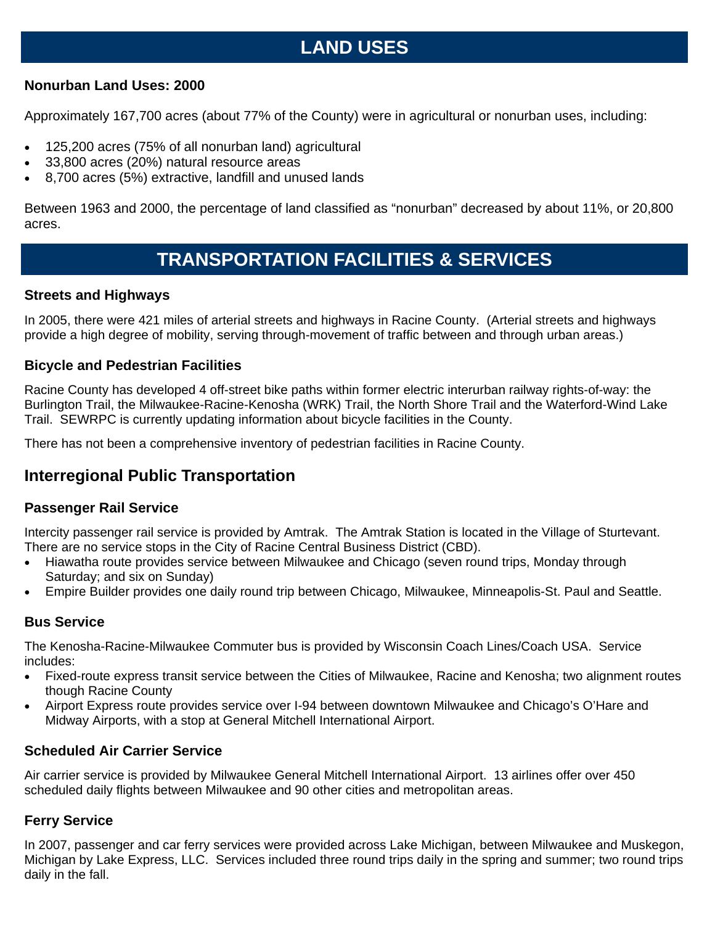## **LAND USES**

#### **Nonurban Land Uses: 2000**

Approximately 167,700 acres (about 77% of the County) were in agricultural or nonurban uses, including:

- 125,200 acres (75% of all nonurban land) agricultural
- 33,800 acres (20%) natural resource areas
- 8,700 acres (5%) extractive, landfill and unused lands

Between 1963 and 2000, the percentage of land classified as "nonurban" decreased by about 11%, or 20,800 acres.

## **TRANSPORTATION FACILITIES & SERVICES**

#### **Streets and Highways**

In 2005, there were 421 miles of arterial streets and highways in Racine County. (Arterial streets and highways provide a high degree of mobility, serving through-movement of traffic between and through urban areas.)

### **Bicycle and Pedestrian Facilities**

Racine County has developed 4 off-street bike paths within former electric interurban railway rights-of-way: the Burlington Trail, the Milwaukee-Racine-Kenosha (WRK) Trail, the North Shore Trail and the Waterford-Wind Lake Trail. SEWRPC is currently updating information about bicycle facilities in the County.

There has not been a comprehensive inventory of pedestrian facilities in Racine County.

## **Interregional Public Transportation**

### **Passenger Rail Service**

Intercity passenger rail service is provided by Amtrak. The Amtrak Station is located in the Village of Sturtevant. There are no service stops in the City of Racine Central Business District (CBD).

- Hiawatha route provides service between Milwaukee and Chicago (seven round trips, Monday through Saturday; and six on Sunday)
- Empire Builder provides one daily round trip between Chicago, Milwaukee, Minneapolis-St. Paul and Seattle.

## **Bus Service**

The Kenosha-Racine-Milwaukee Commuter bus is provided by Wisconsin Coach Lines/Coach USA. Service includes:

- Fixed-route express transit service between the Cities of Milwaukee, Racine and Kenosha; two alignment routes though Racine County
- Airport Express route provides service over I-94 between downtown Milwaukee and Chicago's O'Hare and Midway Airports, with a stop at General Mitchell International Airport.

## **Scheduled Air Carrier Service**

Air carrier service is provided by Milwaukee General Mitchell International Airport. 13 airlines offer over 450 scheduled daily flights between Milwaukee and 90 other cities and metropolitan areas.

## **Ferry Service**

In 2007, passenger and car ferry services were provided across Lake Michigan, between Milwaukee and Muskegon, Michigan by Lake Express, LLC. Services included three round trips daily in the spring and summer; two round trips daily in the fall.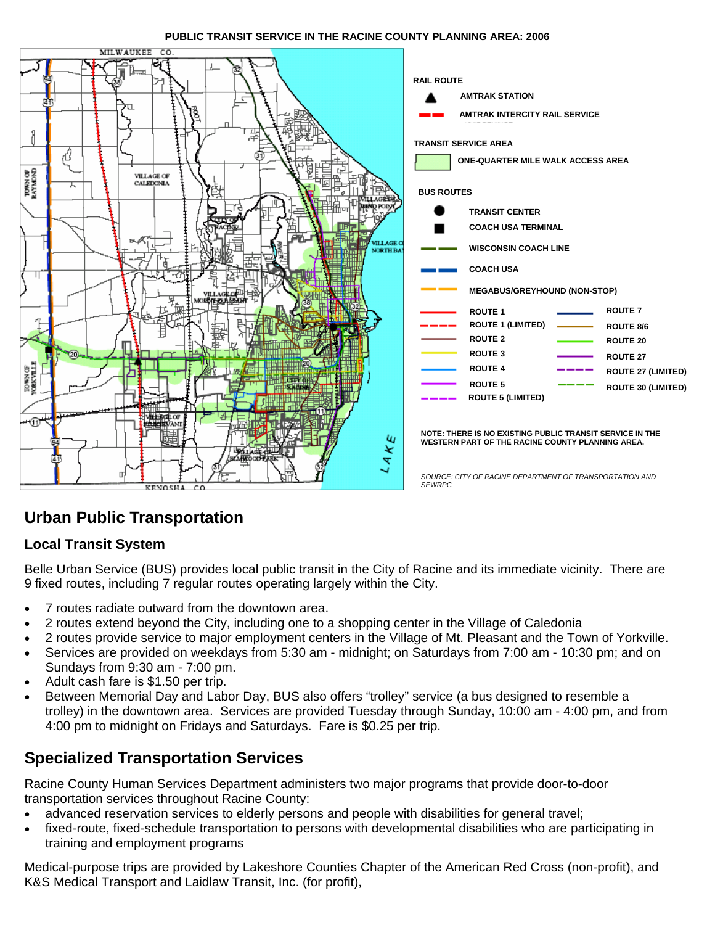#### **PUBLIC TRANSIT SERVICE IN THE RACINE COUNTY PLANNING AREA: 2006**



## **Urban Public Transportation**

#### **Local Transit System**

Belle Urban Service (BUS) provides local public transit in the City of Racine and its immediate vicinity. There are 9 fixed routes, including 7 regular routes operating largely within the City.

- 7 routes radiate outward from the downtown area.
- 2 routes extend beyond the City, including one to a shopping center in the Village of Caledonia
- 2 routes provide service to major employment centers in the Village of Mt. Pleasant and the Town of Yorkville.
- Services are provided on weekdays from 5:30 am midnight; on Saturdays from 7:00 am 10:30 pm; and on Sundays from 9:30 am - 7:00 pm.
- Adult cash fare is \$1.50 per trip.
- Between Memorial Day and Labor Day, BUS also offers "trolley" service (a bus designed to resemble a trolley) in the downtown area. Services are provided Tuesday through Sunday, 10:00 am - 4:00 pm, and from 4:00 pm to midnight on Fridays and Saturdays. Fare is \$0.25 per trip.

## **Specialized Transportation Services**

Racine County Human Services Department administers two major programs that provide door-to-door transportation services throughout Racine County:

- advanced reservation services to elderly persons and people with disabilities for general travel;
- fixed-route, fixed-schedule transportation to persons with developmental disabilities who are participating in training and employment programs

Medical-purpose trips are provided by Lakeshore Counties Chapter of the American Red Cross (non-profit), and K&S Medical Transport and Laidlaw Transit, Inc. (for profit),